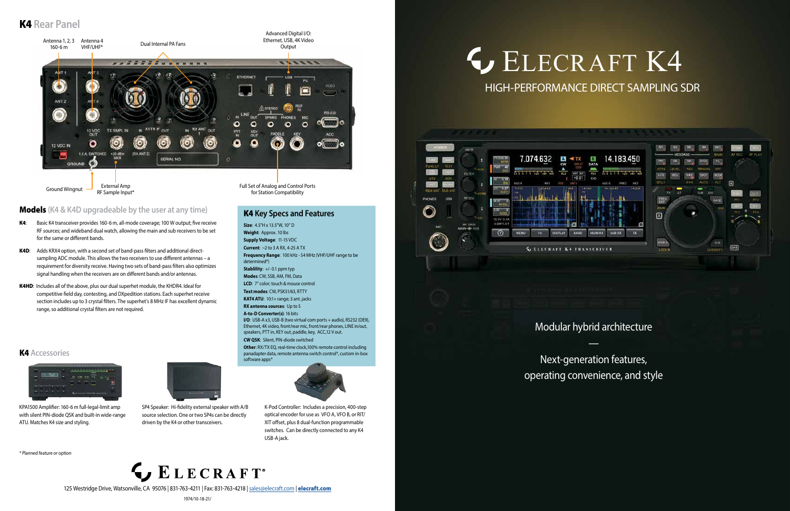## **G[ELECRAFT K4](https://elecraft.com/products/k4-transceiver)** HIGH-PERFORMANCE DIRECT SAMPLING SDR



1974/10-18-21/

Modular hybrid architecture

—



Next-generation features, operating convenience, and style

### K4 **Rear Panel**

K4 **Accessories**

## LECRAFT<sup>®</sup>



for Station Compatibility

KPA1500 Amplifier: 160-6 m full-legal-limit amp with silent PIN-diode QSK and built-in wide-range

ATU. Matches K4 size and styling.

SP4 Speaker: Hi-fidelity external speaker with A/B source selection. One or two SP4s can be directly

driven by the K4 or other transceivers.

125 Westridge Drive, Watsonville, CA 95076 | 831-763-4211 | Fax: 831-763-4218 | [sales@elecraft.com](mailto:sales%40elecraft.com?subject=K4%20Inquiry) | [elecraft.com](https://elecraft.com)

K-Pod Controller: Includes a precision, 400-step optical encoder for use as VFO A, VFO B, or RIT/ XIT offset, plus 8 dual-function programmable switches. Can be directly connected to any K4 USB-A jack.

### Models **(K4 & K4D upgradeable by the user at any time)**

- K4: Basic K4 transceiver provides 160-6 m, all-mode coverage; 100 W output; five receive RF sources; and wideband dual watch, allowing the main and sub receivers to be set for the same or different bands.
- K4D: Adds KRX4 option, with a second set of band-pass filters and additional directsampling ADC module. This allows the two receivers to use different antennas – a requirement for diversity receive. Having two sets of band-pass filters also optimizes signal handling when the receivers are on different bands and/or antennas.
- K4HD: Includes all of the above, plus our dual superhet module, the KHDR4. Ideal for competitive field day, contesting, and DXpedition stations. Each superhet receive section includes up to 3 crystal filters. The superhet's 8 MHz IF has excellent dynamic range, so additional crystal filters are not required.

### K4 **Key Specs and Features**

**Size**: 4.5"H x 13.5"W, 10" D **Weight**: Approx. 10 lbs **Supply Voltage**: 11-15 VDC **Current**: ~2 to 3 A RX, 4-25 A TX **Frequency Range**: 100 kHz - 54 MHz (VHF/UHF range to be determined\*) **Stablility**: +/- 0.1 ppm typ **Modes**: CW, SSB, AM, FM, Data **LCD**: 7" color; touch & mouse control **Text modes**: CW, PSK31/63, RTTY **KAT4 ATU**: 10:1+ range; 3 ant. jacks **RX antenna sources**: Up to 5

#### **A-to-D Converter(s)**: 16 bits

**I/O**: USB-A x3, USB-B (two virtual com ports + audio), RS232 (DE9), Ethernet, 4K video, front/rear mic, front/rear phones, LINE in/out, speakers, PTT in, KEY out, paddle, key, ACC,12 V out. **CW QSK**: Silent, PIN-diode switched

**Other**: RX/TX EQ, real-time clock,100% remote control including panadapter data, remote antenna switch control\*, custom in-box software apps\*



\* Planned feature or option